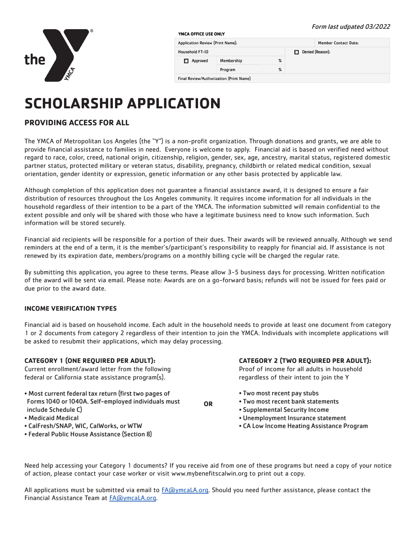# the

#### Form last udpated 03/2022YMCA OFFICE USE ONLY Member Contact Date: Application Review (Print Name): **Household FT-ID** Denied (Reason):  $\%$ Approved Membership  $%$ Program Final Review/Authorization (Print Name)

# **SCHOLARSHIP APPLICATION**

# **PROVIDING ACCESS FOR ALL**

The YMCA of Metropolitan Los Angeles (the "Y") is a non-profit organization. Through donations and grants, we are able to provide financial assistance to families in need. Everyone is welcome to apply. Financial aid is based on verified need without regard to race, color, creed, national origin, citizenship, religion, gender, sex, age, ancestry, marital status, registered domestic partner status, protected military or veteran status, disability, pregnancy, childbirth or related medical condition, sexual orientation, gender identity or expression, genetic information or any other basis protected by applicable law.

Although completion of this application does not guarantee a financial assistance award, it is designed to ensure a fair distribution of resources throughout the Los Angeles community. It requires income information for all individuals in the household regardless of their intention to be a part of the YMCA. The information submitted will remain confidential to the extent possible and only will be shared with those who have a legitimate business need to know such information. Such information will be stored securely.

Financial aid recipients will be responsible for a portion of their dues. Their awards will be reviewed annually. Although we send reminders at the end of a term, it is the member's/participant's responsibility to reapply for financial aid. If assistance is not renewed by its expiration date, members/programs on a monthly billing cycle will be charged the regular rate.

By submitting this application, you agree to these terms. Please allow 3-5 business days for processing. Written notification of the award will be sent via email. Please note: Awards are on a go-forward basis; refunds will not be issued for fees paid or due prior to the award date.

# **INCOME VERIFICATION TYPES**

Financial aid is based on household income. Each adult in the household needs to provide at least one document from category 1 or 2 documents from category 2 regardless of their intention to join the YMCA. Individuals with incomplete applications will be asked to resubmit their applications, which may delay processing.

# **CATEGORY 1 (ONE REQUIRED PER ADULT):**

Current enrollment/award letter from the following federal or California state assistance program(s).

- Most current federal tax return (first two pages of Forms 1040 or 1040A. Self-employed individuals must include Schedule C)
- Medicaid Medical
- CalFresh/SNAP, WIC, CalWorks, or WTW
- Federal Public House Assistance (Section 8)

**CATEGORY 2 (TWO REQUIRED PER ADULT):** 

Proof of income for all adults in household regardless of their intent to join the Y

- Two most recent pay stubs
- Two most recent bank statements
- Supplemental Security Income
- Unemployment Insurance statement
- CA Low Income Heating Assistance Program

Need help accessing your Category 1 documents? If you receive aid from one of these programs but need a copy of your notice of action, please contact your case worker or visit www.mybenefitscalwin.org to print out a copy.

**OR**

All applications must be submitted via email to  $FA@ymcalA.org$ . Should you need further assistance, please contact the Financial Assistance Team at FA@ymcaLA.org.